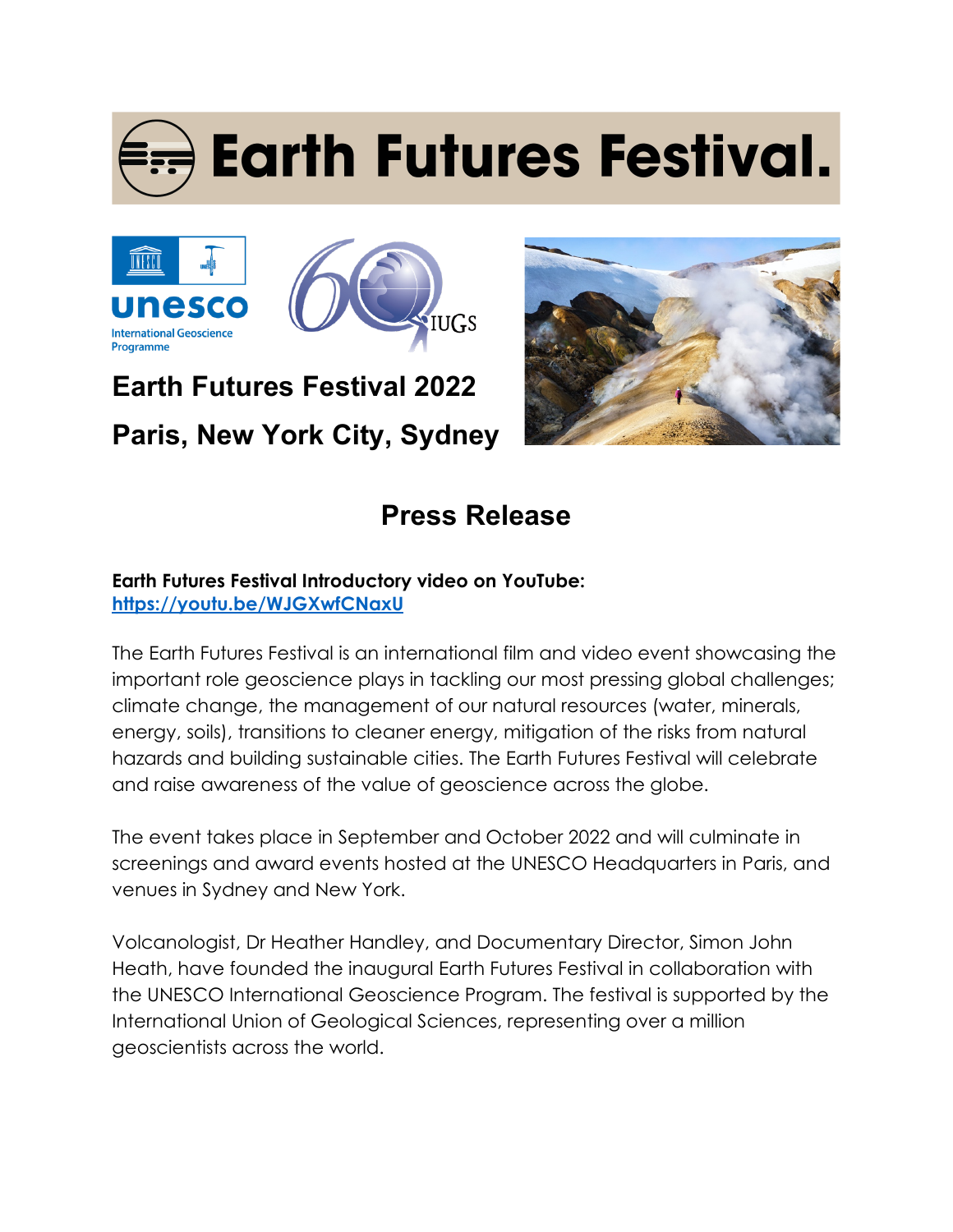# **Earth Futures Festival.**





## **Earth Futures Festival 2022 Paris, New York City, Sydney**



### **Press Release**

#### **Earth Futures Festival Introductory video on YouTube: https://youtu.be/WJGXwfCNaxU**

The Earth Futures Festival is an international film and video event showcasing the important role geoscience plays in tackling our most pressing global challenges; climate change, the management of our natural resources (water, minerals, energy, soils), transitions to cleaner energy, mitigation of the risks from natural hazards and building sustainable cities. The Earth Futures Festival will celebrate and raise awareness of the value of geoscience across the globe.

The event takes place in September and October 2022 and will culminate in screenings and award events hosted at the UNESCO Headquarters in Paris, and venues in Sydney and New York.

Volcanologist, Dr Heather Handley, and Documentary Director, Simon John Heath, have founded the inaugural Earth Futures Festival in collaboration with the UNESCO International Geoscience Program. The festival is supported by the International Union of Geological Sciences, representing over a million geoscientists across the world.